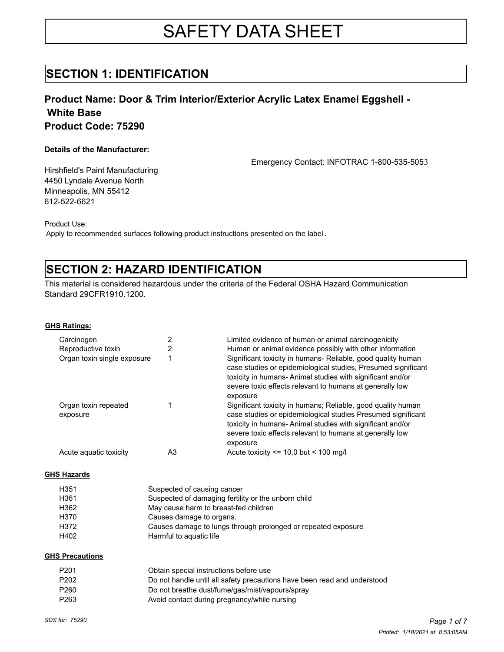# SAFETY DATA SHEET

### **SECTION 1: IDENTIFICATION**

### **Product Name: Door & Trim Interior/Exterior Acrylic Latex Enamel Eggshell - White Base Product Code: 75290**

### **Details of the Manufacturer:**

Emergency Contact: INFOTRAC 1-800-535-5053

Hirshfield's Paint Manufacturing 4450 Lyndale Avenue North Minneapolis, MN 55412 612-522-6621

Product Use:

Apply to recommended surfaces following product instructions presented on the label .

## **SECTION 2: HAZARD IDENTIFICATION**

This material is considered hazardous under the criteria of the Federal OSHA Hazard Communication Standard 29CFR1910.1200.

**GHS Ratings:**

| Carcinogen                       |    | Limited evidence of human or animal carcinogenicity                                                                                                                                                                                                                |
|----------------------------------|----|--------------------------------------------------------------------------------------------------------------------------------------------------------------------------------------------------------------------------------------------------------------------|
| Reproductive toxin               |    | Human or animal evidence possibly with other information                                                                                                                                                                                                           |
| Organ toxin single exposure      |    | Significant toxicity in humans- Reliable, good quality human<br>case studies or epidemiological studies, Presumed significant<br>toxicity in humans-Animal studies with significant and/or<br>severe toxic effects relevant to humans at generally low<br>exposure |
| Organ toxin repeated<br>exposure |    | Significant toxicity in humans; Reliable, good quality human<br>case studies or epidemiological studies Presumed significant<br>toxicity in humans-Animal studies with significant and/or<br>severe toxic effects relevant to humans at generally low<br>exposure  |
| Acute aquatic toxicity           | A3 | Acute toxicity $\le$ 10.0 but $\le$ 100 mg/l                                                                                                                                                                                                                       |

#### **GHS Hazards**

| H351 | Suspected of causing cancer                                   |
|------|---------------------------------------------------------------|
| H361 | Suspected of damaging fertility or the unborn child           |
| H362 | May cause harm to breast-fed children                         |
| H370 | Causes damage to organs.                                      |
| H372 | Causes damage to lungs through prolonged or repeated exposure |
| H402 | Harmful to aguatic life                                       |

#### **GHS Precautions**

| P201 | Obtain special instructions before use                                   |
|------|--------------------------------------------------------------------------|
| P202 | Do not handle until all safety precautions have been read and understood |
| P260 | Do not breathe dust/fume/gas/mist/vapours/spray                          |
| P263 | Avoid contact during pregnancy/while nursing                             |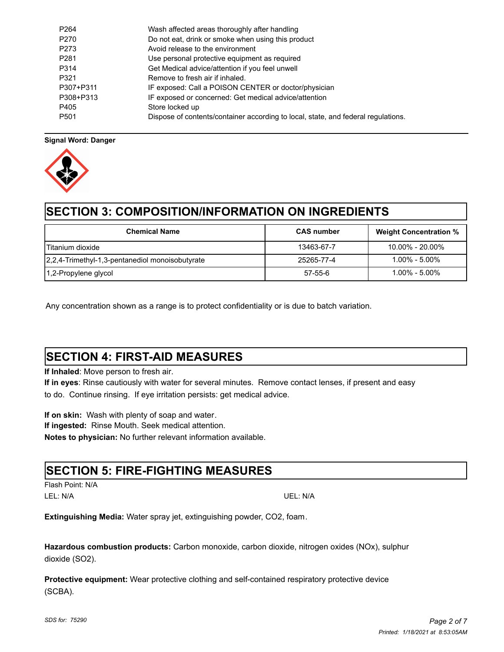| P <sub>264</sub> | Wash affected areas thoroughly after handling                                     |
|------------------|-----------------------------------------------------------------------------------|
| P <sub>270</sub> | Do not eat, drink or smoke when using this product                                |
| P273             | Avoid release to the environment                                                  |
| P <sub>281</sub> | Use personal protective equipment as required                                     |
| P314             | Get Medical advice/attention if you feel unwell                                   |
| P321             | Remove to fresh air if inhaled.                                                   |
| P307+P311        | IF exposed: Call a POISON CENTER or doctor/physician                              |
| P308+P313        | IF exposed or concerned: Get medical advice/attention                             |
| P405             | Store locked up                                                                   |
| P <sub>501</sub> | Dispose of contents/container according to local, state, and federal regulations. |

### **Signal Word: Danger**



## **SECTION 3: COMPOSITION/INFORMATION ON INGREDIENTS**

| <b>Chemical Name</b>                            | <b>CAS</b> number | <b>Weight Concentration %</b> |
|-------------------------------------------------|-------------------|-------------------------------|
| l Titanium dioxide                              | 13463-67-7        | $10.00\% - 20.00\%$           |
| 2,2,4-Trimethyl-1,3-pentanediol monoisobutyrate | 25265-77-4        | $1.00\%$ - $5.00\%$           |
| 1,2-Propylene glycol                            | 57-55-6           | $1.00\%$ - $5.00\%$           |

Any concentration shown as a range is to protect confidentiality or is due to batch variation.

## **SECTION 4: FIRST-AID MEASURES**

**If Inhaled**: Move person to fresh air.

**If in eyes**: Rinse cautiously with water for several minutes. Remove contact lenses, if present and easy to do. Continue rinsing. If eye irritation persists: get medical advice.

**If on skin:** Wash with plenty of soap and water. **If ingested:** Rinse Mouth. Seek medical attention. **Notes to physician:** No further relevant information available.

### **SECTION 5: FIRE-FIGHTING MEASURES**

Flash Point: N/A LEL: N/A UEL: N/A

**Extinguishing Media:** Water spray jet, extinguishing powder, CO2, foam.

**Hazardous combustion products:** Carbon monoxide, carbon dioxide, nitrogen oxides (NOx), sulphur dioxide (SO2).

**Protective equipment:** Wear protective clothing and self-contained respiratory protective device (SCBA).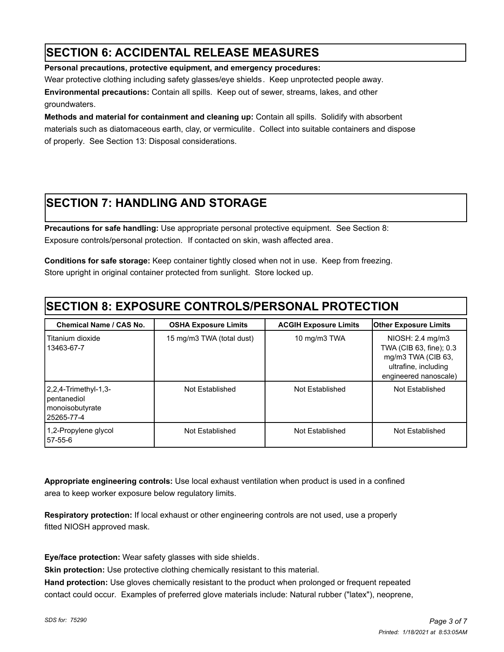## **SECTION 6: ACCIDENTAL RELEASE MEASURES**

**Personal precautions, protective equipment, and emergency procedures:** 

Wear protective clothing including safety glasses/eye shields. Keep unprotected people away.

**Environmental precautions:** Contain all spills.Keep out of sewer, streams, lakes, and other groundwaters.

**Methods and material for containment and cleaning up:** Contain all spills. Solidify with absorbent materials such as diatomaceous earth, clay, or vermiculite. Collect into suitable containers and dispose of properly. See Section 13: Disposal considerations.

## **SECTION 7: HANDLING AND STORAGE**

**Precautions for safe handling:** Use appropriate personal protective equipment. See Section 8: Exposure controls/personal protection. If contacted on skin, wash affected area.

**Conditions for safe storage:** Keep container tightly closed when not in use. Keep from freezing. Store upright in original container protected from sunlight. Store locked up.

## **SECTION 8: EXPOSURE CONTROLS/PERSONAL PROTECTION**

| <b>Chemical Name / CAS No.</b>                                       | <b>OSHA Exposure Limits</b> | <b>ACGIH Exposure Limits</b> | <b>Other Exposure Limits</b>                                                                                       |
|----------------------------------------------------------------------|-----------------------------|------------------------------|--------------------------------------------------------------------------------------------------------------------|
| Titanium dioxide<br>13463-67-7                                       | 15 mg/m3 TWA (total dust)   | 10 mg/m3 TWA                 | NIOSH: 2.4 mg/m3<br>TWA (CIB 63, fine); 0.3<br>mg/m3 TWA (CIB 63,<br>ultrafine, including<br>engineered nanoscale) |
| -2,2,4-Trimethyl-1,3<br>pentanediol<br>monoisobutyrate<br>25265-77-4 | Not Established             | Not Established              | Not Established                                                                                                    |
| 1,2-Propylene glycol<br>57-55-6                                      | Not Established             | Not Established              | Not Established                                                                                                    |

**Appropriate engineering controls:** Use local exhaust ventilation when product is used in a confined area to keep worker exposure below regulatory limits.

**Respiratory protection:** If local exhaust or other engineering controls are not used, use a properly fitted NIOSH approved mask.

**Eye/face protection:** Wear safety glasses with side shields.

**Skin protection:** Use protective clothing chemically resistant to this material.

**Hand protection:** Use gloves chemically resistant to the product when prolonged or frequent repeated contact could occur. Examples of preferred glove materials include: Natural rubber ("latex"), neoprene,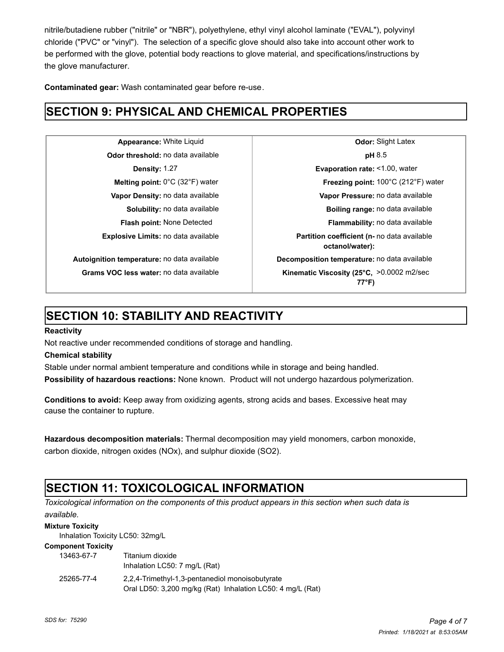nitrile/butadiene rubber ("nitrile" or "NBR"), polyethylene, ethyl vinyl alcohol laminate ("EVAL"), polyvinyl chloride ("PVC" or "vinyl"). The selection of a specific glove should also take into account other work to be performed with the glove, potential body reactions to glove material, and specifications/instructions by the glove manufacturer.

**Contaminated gear:** Wash contaminated gear before re-use.

## **SECTION 9: PHYSICAL AND CHEMICAL PROPERTIES**

**Odor threshold:** no data available **pH** 8.5

**Appearance:** White Liquid **Constanting Latex Odor:** Slight Latex **Density:** 1.27 **Evaporation rate:** <1.00, water **Melting point:** 0°C (32°F) water **Freezing point:** 100°C (212°F) water **Vapor Density:** no data available **Vapor Pressure:** no data available **Solubility:** no data available **Boiling range:** no data available **Flash point:** None Detected **Flammability:** no data available **Explosive Limits:** no data available **Partition coefficient (n-** no data available **octanol/water): Autoignition temperature:** no data available **Decomposition temperature:** no data available Grams VOC less water: no data available **Kinematic Viscosity (25°C, >0.0002** m2/sec **77°F)**

## **SECTION 10: STABILITY AND REACTIVITY**

### **Reactivity**

Not reactive under recommended conditions of storage and handling.

### **Chemical stability**

Stable under normal ambient temperature and conditions while in storage and being handled.

**Possibility of hazardous reactions:** None known. Product will not undergo hazardous polymerization.

**Conditions to avoid:** Keep away from oxidizing agents, strong acids and bases. Excessive heat may cause the container to rupture.

**Hazardous decomposition materials:** Thermal decomposition may yield monomers, carbon monoxide, carbon dioxide, nitrogen oxides (NOx), and sulphur dioxide (SO2).

## **SECTION 11: TOXICOLOGICAL INFORMATION**

*Toxicological information on the components of this product appears in this section when such data is available.*

#### **Mixture Toxicity**

Inhalation Toxicity LC50: 32mg/L

#### **Component Toxicity**

| 13463-67-7 | Titanium dioxide<br>Inhalation LC50: 7 mg/L (Rat)                                                             |
|------------|---------------------------------------------------------------------------------------------------------------|
| 25265-77-4 | 2.2.4-Trimethyl-1.3-pentanediol monoisobutyrate<br>Oral LD50: 3,200 mg/kg (Rat) Inhalation LC50: 4 mg/L (Rat) |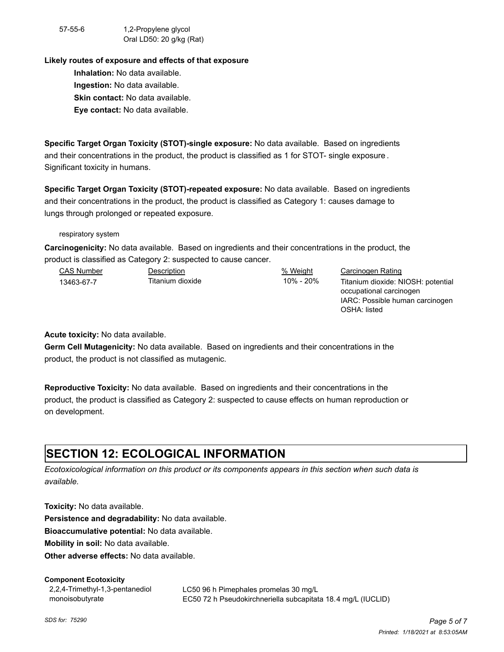57-55-6 1,2-Propylene glycol Oral LD50: 20 g/kg (Rat)

#### **Likely routes of exposure and effects of that exposure**

**Inhalation:** No data available. **Ingestion:** No data available. **Skin contact:** No data available. **Eye contact:** No data available.

**Specific Target Organ Toxicity (STOT)-single exposure:** No data available. Based on ingredients and their concentrations in the product, the product is classified as 1 for STOT- single exposure . Significant toxicity in humans.

**Specific Target Organ Toxicity (STOT)-repeated exposure:** No data available. Based on ingredients and their concentrations in the product, the product is classified as Category 1: causes damage to lungs through prolonged or repeated exposure.

respiratory system

**Carcinogenicity:** No data available. Based on ingredients and their concentrations in the product, the product is classified as Category 2: suspected to cause cancer.

| <b>CAS Number</b> | Description      | % Weight  | Carcinogen Rating                  |
|-------------------|------------------|-----------|------------------------------------|
| 13463-67-7        | Titanium dioxide | 10% - 20% | Titanium dioxide: NIOSH: potential |
|                   |                  |           | occupational carcinogen            |
|                   |                  |           | IARC: Possible human carcinogen    |

OSHA: listed

**Acute toxicity:** No data available.

**Germ Cell Mutagenicity:** No data available. Based on ingredients and their concentrations in the product, the product is not classified as mutagenic.

**Reproductive Toxicity:** No data available. Based on ingredients and their concentrations in the product, the product is classified as Category 2: suspected to cause effects on human reproduction or on development.

## **SECTION 12: ECOLOGICAL INFORMATION**

*Ecotoxicological information on this product or its components appears in this section when such data is available.*

**Toxicity:** No data available.

**Persistence and degradability:** No data available.

**Bioaccumulative potential:** No data available.

**Mobility in soil:** No data available.

**Other adverse effects:** No data available.

#### **Component Ecotoxicity**

2,2,4-Trimethyl-1,3-pentanediol monoisobutyrate

LC50 96 h Pimephales promelas 30 mg/L EC50 72 h Pseudokirchneriella subcapitata 18.4 mg/L (IUCLID)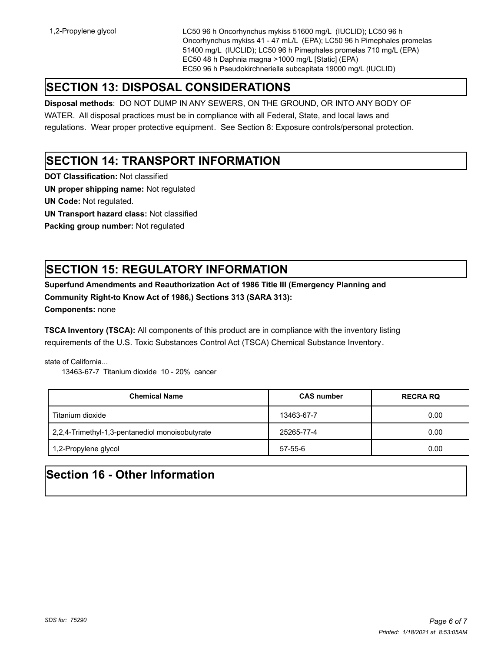1,2-Propylene glycol LC50 96 h Oncorhynchus mykiss 51600 mg/L (IUCLID); LC50 96 h Oncorhynchus mykiss 41 - 47 mL/L (EPA); LC50 96 h Pimephales promelas 51400 mg/L (IUCLID); LC50 96 h Pimephales promelas 710 mg/L (EPA) EC50 48 h Daphnia magna >1000 mg/L [Static] (EPA) EC50 96 h Pseudokirchneriella subcapitata 19000 mg/L (IUCLID)

## **SECTION 13: DISPOSAL CONSIDERATIONS**

**Disposal methods**: DO NOT DUMP IN ANY SEWERS, ON THE GROUND, OR INTO ANY BODY OF

WATER. All disposal practices must be in compliance with all Federal, State, and local laws and regulations. Wear proper protective equipment. See Section 8: Exposure controls/personal protection.

### **SECTION 14: TRANSPORT INFORMATION**

**DOT Classification:** Not classified

**UN proper shipping name:** Not regulated

**UN Code:** Not regulated.

**UN Transport hazard class:** Not classified

**Packing group number:** Not regulated

## **SECTION 15: REGULATORY INFORMATION**

**Superfund Amendments and Reauthorization Act of 1986 Title III (Emergency Planning and Community Right-to Know Act of 1986,) Sections 313 (SARA 313):** 

**Components:** none

**TSCA Inventory (TSCA):** All components of this product are in compliance with the inventory listing requirements of the U.S. Toxic Substances Control Act (TSCA) Chemical Substance Inventory.

state of California...

13463-67-7 Titanium dioxide 10 - 20% cancer

| <b>Chemical Name</b>                            | <b>CAS number</b> | <b>RECRA RQ</b> |
|-------------------------------------------------|-------------------|-----------------|
| Titanium dioxide                                | 13463-67-7        | 0.00            |
| 2,2,4-Trimethyl-1,3-pentanediol monoisobutyrate | 25265-77-4        | 0.00            |
| 1,2-Propylene glycol                            | 57-55-6           | 0.00            |

## **Section 16 - Other Information**